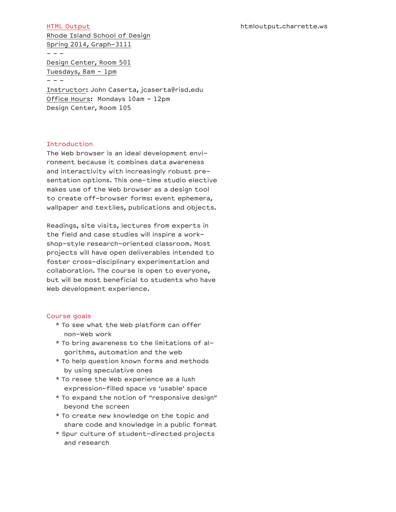#### htmloutput.charrette.ws

#### HTML Output

Rhode Island School of Design Spring 2014, Graph-3111  $- - -$ 

Design Center, Room 501 Tuesdays,  $8am - 1pm$  $- - -$ 

Instructor: John Caserta, jcaserta@risd.edu Office Hours: Mondays 10am - 12pm Design Center, Room 105

### Introduction

The Web browser is an ideal development environment because it combines data awareness and interactivity with increasingly robust presentation options. This one-time studio elective makes use of the Web browser as a design tool to create off-browser forms: event ephemera, wallpaper and textiles, publications and objects.

Readings, site visits, lectures from experts in the field and case studies will inspire a workshop-style research-oriented classroom. Most projects will have open deliverables intended to foster cross-disciplinary experimentation and collaboration. The course is open to everyone, but will be most beneficial to students who have Web development experience.

#### Course goals

- \* To see what the Web platform can offer non-Web work
- \* To bring awareness to the limitations of algorithms, automation and the web
- \* To help question known forms and methods by using speculative ones
- \* To resee the Web experience as a lush expression-filled space vs 'usable' space
- \* To expand the notion of "responsive design" beyond the screen
- \* To create new knowledge on the topic and share code and knowledge in a public format
- \* Spur culture of student-directed projects and research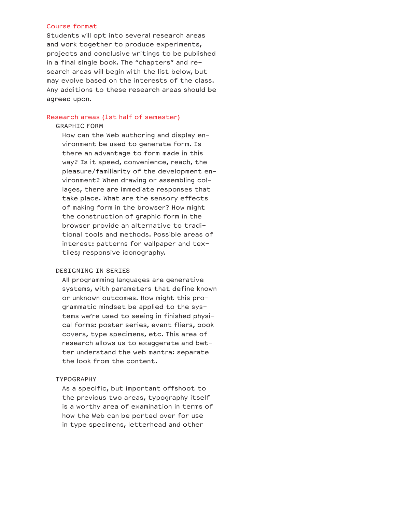### Course format

Students will opt into several research areas and work together to produce experiments, projects and conclusive writings to be published in a final single book. The "chapters" and research areas will begin with the list below, but may evolve based on the interests of the class. Any additions to these research areas should be agreed upon.

# Research areas (1st half of semester)

#### GRAPHIC FORM

 How can the Web authoring and display environment be used to generate form. Is there an advantage to form made in this way? Is it speed, convenience, reach, the pleasure/familiarity of the development environment? When drawing or assembling collages, there are immediate responses that take place. What are the sensory effects of making form in the browser? How might the construction of graphic form in the browser provide an alternative to traditional tools and methods. Possible areas of interest: patterns for wallpaper and textiles; responsive iconography.

### DESIGNING IN SERIES

 All programming languages are generative systems, with parameters that define known or unknown outcomes. How might this programmatic mindset be applied to the systems we're used to seeing in finished physical forms: poster series, event fliers, book covers, type specimens, etc. This area of research allows us to exaggerate and better understand the web mantra: separate the look from the content.

#### TYPOGRAPHY

 As a specific, but important offshoot to the previous two areas, typography itself is a worthy area of examination in terms of how the Web can be ported over for use in type specimens, letterhead and other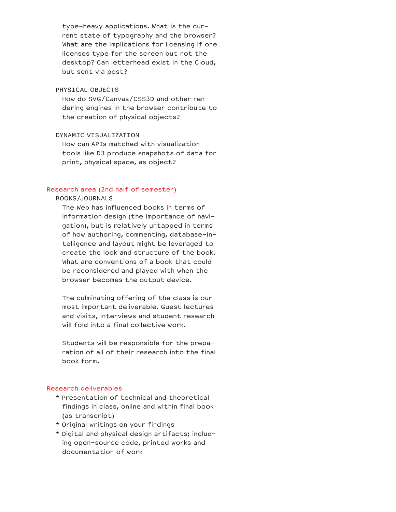type-heavy applications. What is the current state of typography and the browser? What are the implications for licensing if one licenses type for the screen but not the desktop? Can letterhead exist in the Cloud, but sent via post?

# PHYSICAL OBJECTS

 How do SVG/Canvas/CSS3D and other rendering engines in the browser contribute to the creation of physical objects?

### DYNAMIC VISUALIZATION

 How can APIs matched with visualization tools like D3 produce snapshots of data for print, physical space, as object?

### Research area (2nd half of semester)

#### BOOKS/JOURNALS

 The Web has influenced books in terms of information design (the importance of navigation), but is relatively untapped in terms of how authoring, commenting, database-intelligence and layout might be leveraged to create the look and structure of the book. What are conventions of a book that could be reconsidered and played with when the browser becomes the output device.

 The culminating offering of the class is our most important deliverable. Guest lectures and visits, interviews and student research will fold into a final collective work.

 Students will be responsible for the preparation of all of their research into the final book form.

## Research deliverables

- \* Presentation of technical and theoretical findings in class, online and within final book (as transcript)
- \* Original writings on your findings
- \* Digital and physical design artifacts; including open-source code, printed works and documentation of work